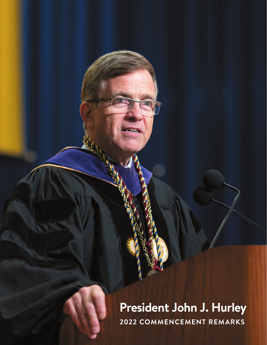## **President John J. Hurley 2022 COMMENCEMENT REMARKS**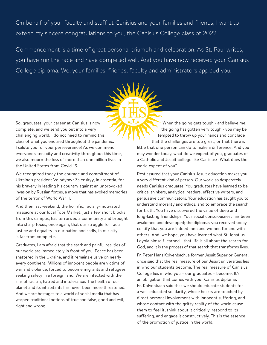On behalf of your faculty and staff at Canisius and your families and friends, I want to extend my sincere congratulations to you, the Canisius College class of 2022!

Commencement is a time of great personal triumph and celebration. As St. Paul writes, you have run the race and have competed well. And you have now received your Canisius College diploma. We, your families, friends, faculty and administrators applaud you.

So, graduates, your career at Canisius is now complete, and we send you out into a very challenging world. I do not need to remind this class of what you endured throughout the pandemic. I salute you for your perseverance! As we commend everyone's tenacity and creativity throughout this time, we also mourn the loss of more than one million lives in the United States from Covid-19.

We recognized today the courage and commitment of Ukraine's president Volodymyr Zalenskyy, in absentia, for his bravery in leading his country against an unprovoked invasion by Russian forces, a move that has evoked memories of the terror of World War II.

And then last weekend, the horrific, racially-motivated massacre at our local Tops Market, just a few short blocks from this campus, has terrorized a community and brought into sharp focus, once again, that our struggle for racial justice and equality in our nation and sadly, in our city, is far from complete.

Graduates, I am afraid that the stark and painful realities of our world are immediately in front of you. Peace has been shattered in the Ukraine, and it remains elusive on nearly every continent. Millions of innocent people are victims of war and violence, forced to become migrants and refugees seeking safety in a foreign land. We are infected with the sins of racism, hatred and intolerance. The health of our planet and its inhabitants has never been more threatened. And we are hostages to a world of social media that has warped traditional notions of true and false, good and evil, right and wrong.

When the going gets tough - and believe me, the going has gotten very tough - you may be tempted to throw up your hands and conclude that the challenges are too great, or that there is little that one person can do to make a difference. And you may wonder today, what do we expect of you, graduates of a Catholic and Jesuit college like Canisius? What does the world expect of you?

Rest assured that your Canisius Jesuit education makes you a very different kind of person. Our world so desperately needs Canisius graduates. You graduates have learned to be critical thinkers, analytical readers, effective writers, and persuasive communicators. Your education has taught you to understand morality and ethics, and to embrace the search for truth. You have discovered the value of deep and long-lasting friendships. Your social consciousness has been awakened and developed; the diplomas you received today certify that you are indeed men and women for and with others. And, we hope, you have learned what St. Ignatius Loyola himself learned - that life is all about the search for God, and it is the process of that search that transforms lives.

Fr. Peter Hans Kolvenbach, a former Jesuit Superior General, once said that the real measure of our Jesuit universities lies in who our students become. The real measure of Canisius College lies in who you – our graduates – become. It's an obligation that comes with your Canisius diploma. Fr. Kolvenbach said that we should educate students for a well-educated solidarity, whose hearts are touched by direct personal involvement with innocent suffering, and whose contact with the gritty reality of the world cause them to feel it, think about it critically, respond to its suffering, and engage it constructively. This is the essence of the promotion of justice in the world.